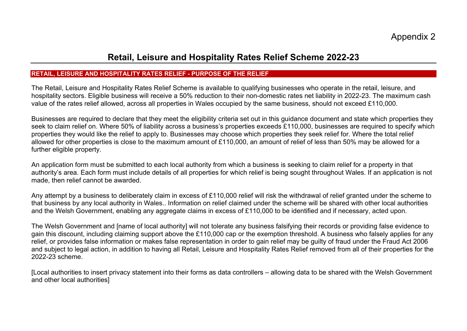## **Retail, Leisure and Hospitality Rates Relief Scheme 2022-23**

## **RETAIL, LEISURE AND HOSPITALITY RATES RELIEF - PURPOSE OF THE RELIEF**

The Retail, Leisure and Hospitality Rates Relief Scheme is available to qualifying businesses who operate in the retail, leisure, and hospitality sectors. Eligible business will receive a 50% reduction to their non-domestic rates net liability in 2022-23. The maximum cash value of the rates relief allowed, across all properties in Wales occupied by the same business, should not exceed £110,000.

Businesses are required to declare that they meet the eligibility criteria set out in this guidance document and state which properties they seek to claim relief on. Where 50% of liability across a business's properties exceeds £110,000, businesses are required to specify which properties they would like the relief to apply to. Businesses may choose which properties they seek relief for. Where the total relief allowed for other properties is close to the maximum amount of £110,000, an amount of relief of less than 50% may be allowed for a further eligible property.

An application form must be submitted to each local authority from which a business is seeking to claim relief for a property in that authority's area. Each form must include details of all properties for which relief is being sought throughout Wales. If an application is not made, then relief cannot be awarded.

Any attempt by a business to deliberately claim in excess of £110,000 relief will risk the withdrawal of relief granted under the scheme to that business by any local authority in Wales.. Information on relief claimed under the scheme will be shared with other local authorities and the Welsh Government, enabling any aggregate claims in excess of £110,000 to be identified and if necessary, acted upon.

The Welsh Government and [name of local authority] will not tolerate any business falsifying their records or providing false evidence to gain this discount, including claiming support above the £110,000 cap or the exemption threshold. A business who falsely applies for any relief, or provides false information or makes false representation in order to gain relief may be guilty of fraud under the Fraud Act 2006 and subject to legal action, in addition to having all Retail, Leisure and Hospitality Rates Relief removed from all of their properties for the 2022-23 scheme.

[Local authorities to insert privacy statement into their forms as data controllers – allowing data to be shared with the Welsh Government and other local authorities]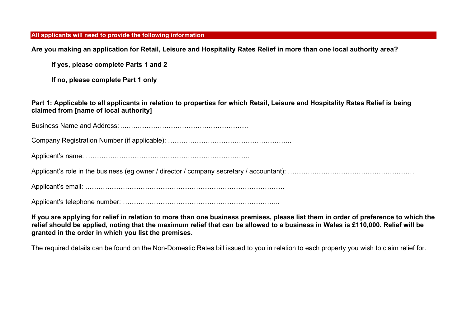**All applicants will need to provide the following information**

**Are you making an application for Retail, Leisure and Hospitality Rates Relief in more than one local authority area?** 

**If yes, please complete Parts 1 and 2** 

**If no, please complete Part 1 only** 

**Part 1: Applicable to all applicants in relation to properties for which Retail, Leisure and Hospitality Rates Relief is being claimed from [name of local authority]** 

Business Name and Address: ...……………………………………………….

Company Registration Number (if applicable): ………………………………………………..

Applicant's name: ………………………………………………………………..

Applicant's role in the business (eg owner / director / company secretary / accountant): ………………………………………………………

Applicant's email: ………………………………………………………………………………

Applicant's telephone number: ……………………………………………………………..

**If you are applying for relief in relation to more than one business premises, please list them in order of preference to which the relief should be applied, noting that the maximum relief that can be allowed to a business in Wales is £110,000. Relief will be granted in the order in which you list the premises.** 

The required details can be found on the Non-Domestic Rates bill issued to you in relation to each property you wish to claim relief for.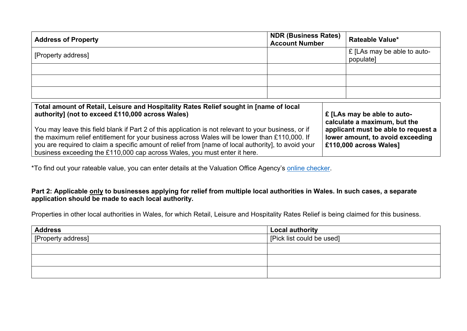| <b>Address of Property</b> | <b>NDR (Business Rates)</b><br><b>Account Number</b> | <b>Rateable Value*</b>                   |
|----------------------------|------------------------------------------------------|------------------------------------------|
| [Property address]         |                                                      | E [LAs may be able to auto-<br>populate] |
|                            |                                                      |                                          |
|                            |                                                      |                                          |
|                            |                                                      |                                          |

| Total amount of Retail, Leisure and Hospitality Rates Relief sought in [name of local                                                                                                                                                                                                                                                                                                       | E [LAs may be able to auto-                                                                               |
|---------------------------------------------------------------------------------------------------------------------------------------------------------------------------------------------------------------------------------------------------------------------------------------------------------------------------------------------------------------------------------------------|-----------------------------------------------------------------------------------------------------------|
| authority] (not to exceed £110,000 across Wales)                                                                                                                                                                                                                                                                                                                                            | calculate a maximum, but the                                                                              |
| You may leave this field blank if Part 2 of this application is not relevant to your business, or if<br>the maximum relief entitlement for your business across Wales will be lower than £110,000. If<br>you are required to claim a specific amount of relief from [name of local authority], to avoid your  <br>business exceeding the £110,000 cap across Wales, you must enter it here. | applicant must be able to request a<br>lower amount, to avoid exceeding<br><b>E110,000 across Wales</b> ] |

\*To find out your rateable value, you can enter details at the Valuation Office Agency's online checker.

## Part 2: Applicable only to businesses applying for relief from multiple local authorities in Wales. In such cases, a separate **application should be made to each local authority.**

Properties in other local authorities in Wales, for which Retail, Leisure and Hospitality Rates Relief is being claimed for this business.

| <b>Address</b>     | Local authority           |
|--------------------|---------------------------|
| [Property address] | [Pick list could be used] |
|                    |                           |
|                    |                           |
|                    |                           |